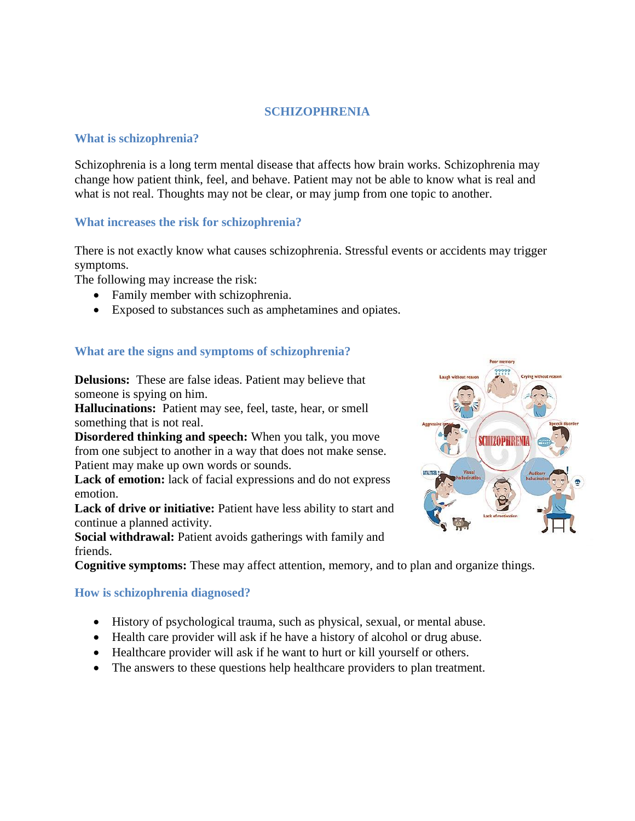## **SCHIZOPHRENIA**

#### **What is schizophrenia?**

Schizophrenia is a long term mental disease that affects how brain works. Schizophrenia may change how patient think, feel, and behave. Patient may not be able to know what is real and what is not real. Thoughts may not be clear, or may jump from one topic to another.

## **What increases the risk for schizophrenia?**

There is not exactly know what causes schizophrenia. Stressful events or accidents may trigger symptoms.

The following may increase the risk:

- Family member with schizophrenia.
- Exposed to substances such as amphetamines and opiates.

# **What are the signs and symptoms of schizophrenia?**

**Delusions:** These are false ideas. Patient may believe that someone is spying on him.

**Hallucinations:** Patient may see, feel, taste, hear, or smell something that is not real.

**Disordered thinking and speech:** When you talk, you move from one subject to another in a way that does not make sense. Patient may make up own words or sounds.

**Lack of emotion:** lack of facial expressions and do not express emotion.

**Lack of drive or initiative:** Patient have less ability to start and continue a planned activity.

**Social withdrawal:** Patient avoids gatherings with family and friends.

**Cognitive symptoms:** These may affect attention, memory, and to plan and organize things.

**How is schizophrenia diagnosed?**

- History of psychological trauma, such as physical, sexual, or mental abuse.
- Health care provider will ask if he have a history of alcohol or drug abuse.
- Healthcare provider will ask if he want to hurt or kill yourself or others.
- The answers to these questions help healthcare providers to plan treatment.